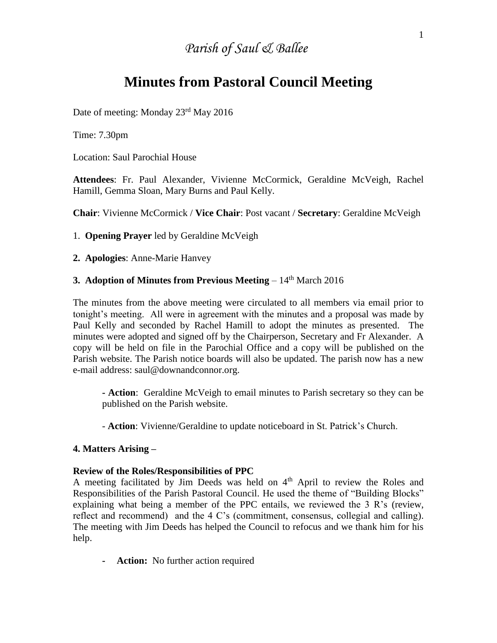# *Parish of Saul & Ballee*

## **Minutes from Pastoral Council Meeting**

Date of meeting: Monday 23rd May 2016

Time: 7.30pm

Location: Saul Parochial House

**Attendees**: Fr. Paul Alexander, Vivienne McCormick, Geraldine McVeigh, Rachel Hamill, Gemma Sloan, Mary Burns and Paul Kelly.

**Chair**: Vivienne McCormick / **Vice Chair**: Post vacant / **Secretary**: Geraldine McVeigh

1. **Opening Prayer** led by Geraldine McVeigh

**2. Apologies**: Anne-Marie Hanvey

## **3. Adoption of Minutes from Previous Meeting** – 14<sup>th</sup> March 2016

The minutes from the above meeting were circulated to all members via email prior to tonight's meeting. All were in agreement with the minutes and a proposal was made by Paul Kelly and seconded by Rachel Hamill to adopt the minutes as presented. The minutes were adopted and signed off by the Chairperson, Secretary and Fr Alexander. A copy will be held on file in the Parochial Office and a copy will be published on the Parish website. The Parish notice boards will also be updated. The parish now has a new e-mail address: saul@downandconnor.org.

**- Action**: Geraldine McVeigh to email minutes to Parish secretary so they can be published on the Parish website.

- **Action**: Vivienne/Geraldine to update noticeboard in St. Patrick's Church.

## **4. Matters Arising –**

#### **Review of the Roles/Responsibilities of PPC**

A meeting facilitated by Jim Deeds was held on 4<sup>th</sup> April to review the Roles and Responsibilities of the Parish Pastoral Council. He used the theme of "Building Blocks" explaining what being a member of the PPC entails, we reviewed the 3 R's (review, reflect and recommend) and the 4 C's (commitment, consensus, collegial and calling). The meeting with Jim Deeds has helped the Council to refocus and we thank him for his help.

**- Action:** No further action required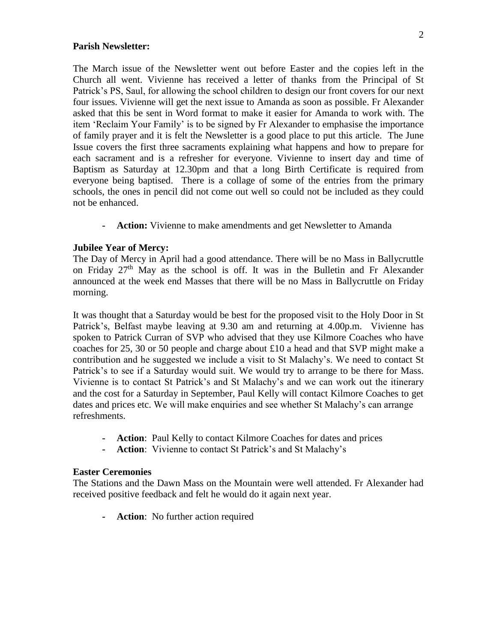#### **Parish Newsletter:**

The March issue of the Newsletter went out before Easter and the copies left in the Church all went. Vivienne has received a letter of thanks from the Principal of St Patrick's PS, Saul, for allowing the school children to design our front covers for our next four issues. Vivienne will get the next issue to Amanda as soon as possible. Fr Alexander asked that this be sent in Word format to make it easier for Amanda to work with. The item 'Reclaim Your Family' is to be signed by Fr Alexander to emphasise the importance of family prayer and it is felt the Newsletter is a good place to put this article. The June Issue covers the first three sacraments explaining what happens and how to prepare for each sacrament and is a refresher for everyone. Vivienne to insert day and time of Baptism as Saturday at 12.30pm and that a long Birth Certificate is required from everyone being baptised. There is a collage of some of the entries from the primary schools, the ones in pencil did not come out well so could not be included as they could not be enhanced.

**- Action:** Vivienne to make amendments and get Newsletter to Amanda

## **Jubilee Year of Mercy:**

The Day of Mercy in April had a good attendance. There will be no Mass in Ballycruttle on Friday 27<sup>th</sup> May as the school is off. It was in the Bulletin and Fr Alexander announced at the week end Masses that there will be no Mass in Ballycruttle on Friday morning.

It was thought that a Saturday would be best for the proposed visit to the Holy Door in St Patrick's, Belfast maybe leaving at 9.30 am and returning at 4.00p.m. Vivienne has spoken to Patrick Curran of SVP who advised that they use Kilmore Coaches who have coaches for 25, 30 or 50 people and charge about £10 a head and that SVP might make a contribution and he suggested we include a visit to St Malachy's. We need to contact St Patrick's to see if a Saturday would suit. We would try to arrange to be there for Mass. Vivienne is to contact St Patrick's and St Malachy's and we can work out the itinerary and the cost for a Saturday in September, Paul Kelly will contact Kilmore Coaches to get dates and prices etc. We will make enquiries and see whether St Malachy's can arrange refreshments.

- **- Action**: Paul Kelly to contact Kilmore Coaches for dates and prices
- **- Action**: Vivienne to contact St Patrick's and St Malachy's

## **Easter Ceremonies**

The Stations and the Dawn Mass on the Mountain were well attended. Fr Alexander had received positive feedback and felt he would do it again next year.

**- Action**: No further action required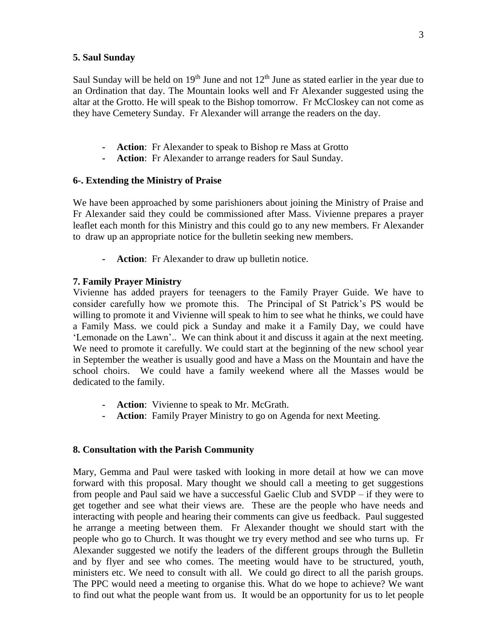#### **5. Saul Sunday**

Saul Sunday will be held on  $19<sup>th</sup>$  June and not  $12<sup>th</sup>$  June as stated earlier in the year due to an Ordination that day. The Mountain looks well and Fr Alexander suggested using the altar at the Grotto. He will speak to the Bishop tomorrow. Fr McCloskey can not come as they have Cemetery Sunday. Fr Alexander will arrange the readers on the day.

- **- Action**: Fr Alexander to speak to Bishop re Mass at Grotto
- **- Action**: Fr Alexander to arrange readers for Saul Sunday.

#### **6-. Extending the Ministry of Praise**

We have been approached by some parishioners about joining the Ministry of Praise and Fr Alexander said they could be commissioned after Mass. Vivienne prepares a prayer leaflet each month for this Ministry and this could go to any new members. Fr Alexander to draw up an appropriate notice for the bulletin seeking new members.

**- Action**: Fr Alexander to draw up bulletin notice.

### **7. Family Prayer Ministry**

Vivienne has added prayers for teenagers to the Family Prayer Guide. We have to consider carefully how we promote this. The Principal of St Patrick's PS would be willing to promote it and Vivienne will speak to him to see what he thinks, we could have a Family Mass. we could pick a Sunday and make it a Family Day, we could have 'Lemonade on the Lawn'.. We can think about it and discuss it again at the next meeting. We need to promote it carefully. We could start at the beginning of the new school year in September the weather is usually good and have a Mass on the Mountain and have the school choirs. We could have a family weekend where all the Masses would be dedicated to the family.

- **- Action**: Vivienne to speak to Mr. McGrath.
- **- Action**: Family Prayer Ministry to go on Agenda for next Meeting.

#### **8. Consultation with the Parish Community**

Mary, Gemma and Paul were tasked with looking in more detail at how we can move forward with this proposal. Mary thought we should call a meeting to get suggestions from people and Paul said we have a successful Gaelic Club and SVDP – if they were to get together and see what their views are. These are the people who have needs and interacting with people and hearing their comments can give us feedback. Paul suggested he arrange a meeting between them. Fr Alexander thought we should start with the people who go to Church. It was thought we try every method and see who turns up. Fr Alexander suggested we notify the leaders of the different groups through the Bulletin and by flyer and see who comes. The meeting would have to be structured, youth, ministers etc. We need to consult with all. We could go direct to all the parish groups. The PPC would need a meeting to organise this. What do we hope to achieve? We want to find out what the people want from us. It would be an opportunity for us to let people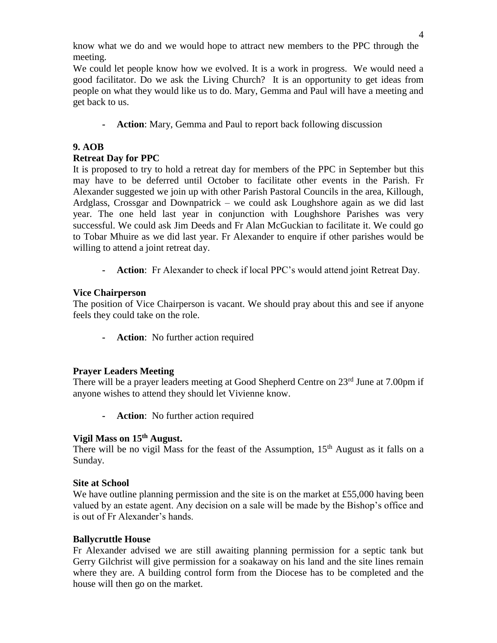know what we do and we would hope to attract new members to the PPC through the meeting.

We could let people know how we evolved. It is a work in progress. We would need a good facilitator. Do we ask the Living Church? It is an opportunity to get ideas from people on what they would like us to do. Mary, Gemma and Paul will have a meeting and get back to us.

**- Action**: Mary, Gemma and Paul to report back following discussion

## **9. AOB**

## **Retreat Day for PPC**

It is proposed to try to hold a retreat day for members of the PPC in September but this may have to be deferred until October to facilitate other events in the Parish. Fr Alexander suggested we join up with other Parish Pastoral Councils in the area, Killough, Ardglass, Crossgar and Downpatrick – we could ask Loughshore again as we did last year. The one held last year in conjunction with Loughshore Parishes was very successful. We could ask Jim Deeds and Fr Alan McGuckian to facilitate it. We could go to Tobar Mhuire as we did last year. Fr Alexander to enquire if other parishes would be willing to attend a joint retreat day.

**- Action**: Fr Alexander to check if local PPC's would attend joint Retreat Day.

## **Vice Chairperson**

The position of Vice Chairperson is vacant. We should pray about this and see if anyone feels they could take on the role.

**- Action**: No further action required

## **Prayer Leaders Meeting**

There will be a prayer leaders meeting at Good Shepherd Centre on 23<sup>rd</sup> June at 7.00pm if anyone wishes to attend they should let Vivienne know.

**- Action**: No further action required

## **Vigil Mass on 15th August.**

There will be no vigil Mass for the feast of the Assumption,  $15<sup>th</sup>$  August as it falls on a Sunday.

## **Site at School**

We have outline planning permission and the site is on the market at £55,000 having been valued by an estate agent. Any decision on a sale will be made by the Bishop's office and is out of Fr Alexander's hands.

## **Ballycruttle House**

Fr Alexander advised we are still awaiting planning permission for a septic tank but Gerry Gilchrist will give permission for a soakaway on his land and the site lines remain where they are. A building control form from the Diocese has to be completed and the house will then go on the market.